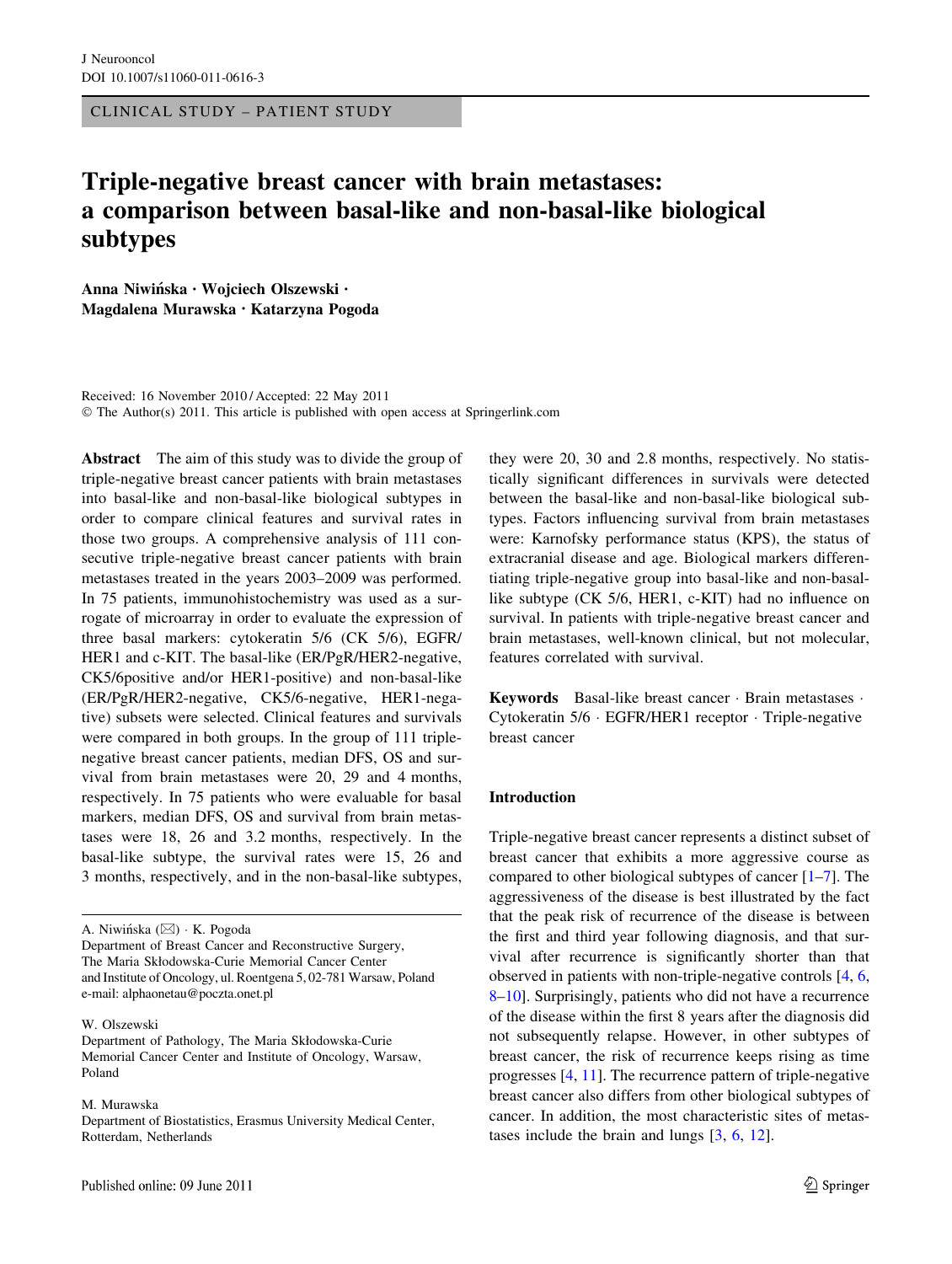CLINICAL STUDY – PATIENT STUDY

# Triple-negative breast cancer with brain metastases: a comparison between basal-like and non-basal-like biological subtypes

Anna Niwińska · Wojciech Olszewski · Magdalena Murawska • Katarzyna Pogoda

Received: 16 November 2010 / Accepted: 22 May 2011 © The Author(s) 2011. This article is published with open access at Springerlink.com

Abstract The aim of this study was to divide the group of triple-negative breast cancer patients with brain metastases into basal-like and non-basal-like biological subtypes in order to compare clinical features and survival rates in those two groups. A comprehensive analysis of 111 consecutive triple-negative breast cancer patients with brain metastases treated in the years 2003–2009 was performed. In 75 patients, immunohistochemistry was used as a surrogate of microarray in order to evaluate the expression of three basal markers: cytokeratin 5/6 (CK 5/6), EGFR/ HER1 and c-KIT. The basal-like (ER/PgR/HER2-negative, CK5/6positive and/or HER1-positive) and non-basal-like (ER/PgR/HER2-negative, CK5/6-negative, HER1-negative) subsets were selected. Clinical features and survivals were compared in both groups. In the group of 111 triplenegative breast cancer patients, median DFS, OS and survival from brain metastases were 20, 29 and 4 months, respectively. In 75 patients who were evaluable for basal markers, median DFS, OS and survival from brain metastases were 18, 26 and 3.2 months, respectively. In the basal-like subtype, the survival rates were 15, 26 and 3 months, respectively, and in the non-basal-like subtypes,

A. Niwińska (⊠) · K. Pogoda

W. Olszewski

M. Murawska

they were 20, 30 and 2.8 months, respectively. No statistically significant differences in survivals were detected between the basal-like and non-basal-like biological subtypes. Factors influencing survival from brain metastases were: Karnofsky performance status (KPS), the status of extracranial disease and age. Biological markers differentiating triple-negative group into basal-like and non-basallike subtype (CK 5/6, HER1, c-KIT) had no influence on survival. In patients with triple-negative breast cancer and brain metastases, well-known clinical, but not molecular, features correlated with survival.

Keywords Basal-like breast cancer · Brain metastases · Cytokeratin 5/6 - EGFR/HER1 receptor - Triple-negative breast cancer

# Introduction

Triple-negative breast cancer represents a distinct subset of breast cancer that exhibits a more aggressive course as compared to other biological subtypes of cancer [\[1](#page-5-0)[–7](#page-6-0)]. The aggressiveness of the disease is best illustrated by the fact that the peak risk of recurrence of the disease is between the first and third year following diagnosis, and that survival after recurrence is significantly shorter than that observed in patients with non-triple-negative controls [[4,](#page-6-0) [6,](#page-6-0) [8–10](#page-6-0)]. Surprisingly, patients who did not have a recurrence of the disease within the first 8 years after the diagnosis did not subsequently relapse. However, in other subtypes of breast cancer, the risk of recurrence keeps rising as time progresses [[4,](#page-6-0) [11\]](#page-6-0). The recurrence pattern of triple-negative breast cancer also differs from other biological subtypes of cancer. In addition, the most characteristic sites of metastases include the brain and lungs [\[3](#page-6-0), [6](#page-6-0), [12\]](#page-6-0).

Department of Breast Cancer and Reconstructive Surgery, The Maria Skłodowska-Curie Memorial Cancer Center and Institute of Oncology, ul. Roentgena 5, 02-781 Warsaw, Poland e-mail: alphaonetau@poczta.onet.pl

Department of Pathology, The Maria Skłodowska-Curie Memorial Cancer Center and Institute of Oncology, Warsaw, Poland

Department of Biostatistics, Erasmus University Medical Center, Rotterdam, Netherlands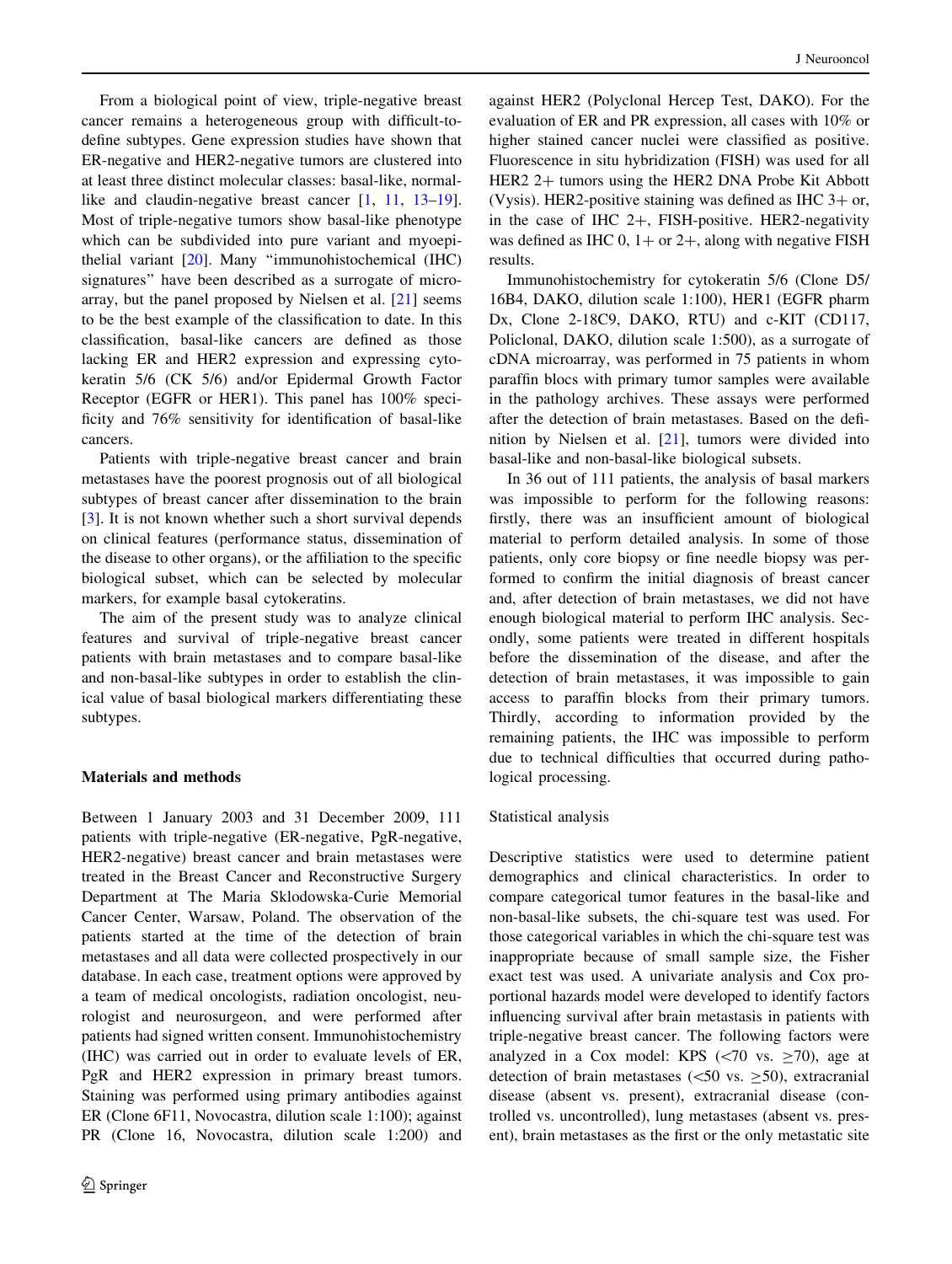From a biological point of view, triple-negative breast cancer remains a heterogeneous group with difficult-todefine subtypes. Gene expression studies have shown that ER-negative and HER2-negative tumors are clustered into at least three distinct molecular classes: basal-like, normal-like and claudin-negative breast cancer [[1,](#page-5-0) [11](#page-6-0), [13–19](#page-6-0)]. Most of triple-negative tumors show basal-like phenotype which can be subdivided into pure variant and myoepithelial variant [\[20](#page-6-0)]. Many ''immunohistochemical (IHC) signatures'' have been described as a surrogate of microarray, but the panel proposed by Nielsen et al. [\[21](#page-6-0)] seems to be the best example of the classification to date. In this classification, basal-like cancers are defined as those lacking ER and HER2 expression and expressing cytokeratin 5/6 (CK 5/6) and/or Epidermal Growth Factor Receptor (EGFR or HER1). This panel has 100% specificity and 76% sensitivity for identification of basal-like cancers.

Patients with triple-negative breast cancer and brain metastases have the poorest prognosis out of all biological subtypes of breast cancer after dissemination to the brain [\[3](#page-6-0)]. It is not known whether such a short survival depends on clinical features (performance status, dissemination of the disease to other organs), or the affiliation to the specific biological subset, which can be selected by molecular markers, for example basal cytokeratins.

The aim of the present study was to analyze clinical features and survival of triple-negative breast cancer patients with brain metastases and to compare basal-like and non-basal-like subtypes in order to establish the clinical value of basal biological markers differentiating these subtypes.

# Materials and methods

Between 1 January 2003 and 31 December 2009, 111 patients with triple-negative (ER-negative, PgR-negative, HER2-negative) breast cancer and brain metastases were treated in the Breast Cancer and Reconstructive Surgery Department at The Maria Sklodowska-Curie Memorial Cancer Center, Warsaw, Poland. The observation of the patients started at the time of the detection of brain metastases and all data were collected prospectively in our database. In each case, treatment options were approved by a team of medical oncologists, radiation oncologist, neurologist and neurosurgeon, and were performed after patients had signed written consent. Immunohistochemistry (IHC) was carried out in order to evaluate levels of ER, PgR and HER2 expression in primary breast tumors. Staining was performed using primary antibodies against ER (Clone 6F11, Novocastra, dilution scale 1:100); against PR (Clone 16, Novocastra, dilution scale 1:200) and

against HER2 (Polyclonal Hercep Test, DAKO). For the evaluation of ER and PR expression, all cases with 10% or higher stained cancer nuclei were classified as positive. Fluorescence in situ hybridization (FISH) was used for all HER2  $2+$  tumors using the HER2 DNA Probe Kit Abbott (Vysis). HER2-positive staining was defined as IHC  $3+$  or, in the case of IHC  $2+$ , FISH-positive. HER2-negativity was defined as IHC 0,  $1+$  or 2+, along with negative FISH results.

Immunohistochemistry for cytokeratin 5/6 (Clone D5/ 16B4, DAKO, dilution scale 1:100), HER1 (EGFR pharm Dx, Clone 2-18C9, DAKO, RTU) and c-KIT (CD117, Policlonal, DAKO, dilution scale 1:500), as a surrogate of cDNA microarray, was performed in 75 patients in whom paraffin blocs with primary tumor samples were available in the pathology archives. These assays were performed after the detection of brain metastases. Based on the definition by Nielsen et al. [[21\]](#page-6-0), tumors were divided into basal-like and non-basal-like biological subsets.

In 36 out of 111 patients, the analysis of basal markers was impossible to perform for the following reasons: firstly, there was an insufficient amount of biological material to perform detailed analysis. In some of those patients, only core biopsy or fine needle biopsy was performed to confirm the initial diagnosis of breast cancer and, after detection of brain metastases, we did not have enough biological material to perform IHC analysis. Secondly, some patients were treated in different hospitals before the dissemination of the disease, and after the detection of brain metastases, it was impossible to gain access to paraffin blocks from their primary tumors. Thirdly, according to information provided by the remaining patients, the IHC was impossible to perform due to technical difficulties that occurred during pathological processing.

#### Statistical analysis

Descriptive statistics were used to determine patient demographics and clinical characteristics. In order to compare categorical tumor features in the basal-like and non-basal-like subsets, the chi-square test was used. For those categorical variables in which the chi-square test was inappropriate because of small sample size, the Fisher exact test was used. A univariate analysis and Cox proportional hazards model were developed to identify factors influencing survival after brain metastasis in patients with triple-negative breast cancer. The following factors were analyzed in a Cox model: KPS  $( $70$  vs.  $>70$ ), age at$ detection of brain metastases ( $\leq 50$  vs.  $\geq 50$ ), extracranial disease (absent vs. present), extracranial disease (controlled vs. uncontrolled), lung metastases (absent vs. present), brain metastases as the first or the only metastatic site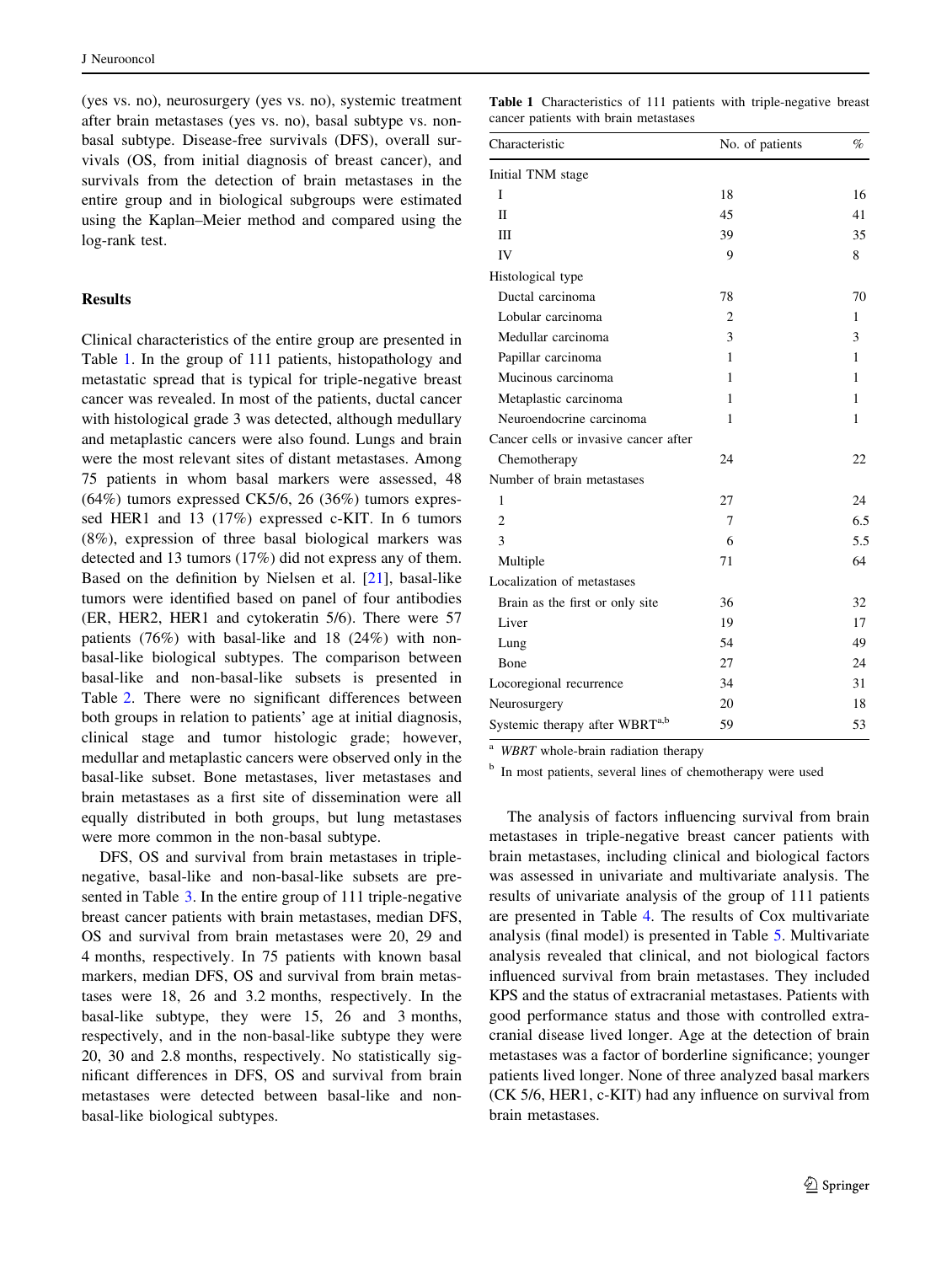(yes vs. no), neurosurgery (yes vs. no), systemic treatment after brain metastases (yes vs. no), basal subtype vs. nonbasal subtype. Disease-free survivals (DFS), overall survivals (OS, from initial diagnosis of breast cancer), and survivals from the detection of brain metastases in the entire group and in biological subgroups were estimated using the Kaplan–Meier method and compared using the log-rank test.

## Results

Clinical characteristics of the entire group are presented in Table 1. In the group of 111 patients, histopathology and metastatic spread that is typical for triple-negative breast cancer was revealed. In most of the patients, ductal cancer with histological grade 3 was detected, although medullary and metaplastic cancers were also found. Lungs and brain were the most relevant sites of distant metastases. Among 75 patients in whom basal markers were assessed, 48  $(64\%)$  tumors expressed CK5/6, 26 (36%) tumors expressed HER1 and 13 (17%) expressed c-KIT. In 6 tumors (8%), expression of three basal biological markers was detected and 13 tumors (17%) did not express any of them. Based on the definition by Nielsen et al. [\[21](#page-6-0)], basal-like tumors were identified based on panel of four antibodies (ER, HER2, HER1 and cytokeratin 5/6). There were 57 patients (76%) with basal-like and 18 (24%) with nonbasal-like biological subtypes. The comparison between basal-like and non-basal-like subsets is presented in Table [2](#page-3-0). There were no significant differences between both groups in relation to patients' age at initial diagnosis, clinical stage and tumor histologic grade; however, medullar and metaplastic cancers were observed only in the basal-like subset. Bone metastases, liver metastases and brain metastases as a first site of dissemination were all equally distributed in both groups, but lung metastases were more common in the non-basal subtype.

DFS, OS and survival from brain metastases in triplenegative, basal-like and non-basal-like subsets are pre-sented in Table [3.](#page-3-0) In the entire group of 111 triple-negative breast cancer patients with brain metastases, median DFS, OS and survival from brain metastases were 20, 29 and 4 months, respectively. In 75 patients with known basal markers, median DFS, OS and survival from brain metastases were 18, 26 and 3.2 months, respectively. In the basal-like subtype, they were 15, 26 and 3 months, respectively, and in the non-basal-like subtype they were 20, 30 and 2.8 months, respectively. No statistically significant differences in DFS, OS and survival from brain metastases were detected between basal-like and nonbasal-like biological subtypes.

Table 1 Characteristics of 111 patients with triple-negative breast cancer patients with brain metastases

| Characteristic                        | No. of patients | $\%$ |  |
|---------------------------------------|-----------------|------|--|
| Initial TNM stage                     |                 |      |  |
| I                                     | 18              | 16   |  |
| $\mathbf{H}$                          | 45              | 41   |  |
| Ш                                     | 39              | 35   |  |
| IV                                    | 9               | 8    |  |
| Histological type                     |                 |      |  |
| Ductal carcinoma                      | 78              | 70   |  |
| Lobular carcinoma                     | 2               | 1    |  |
| Medullar carcinoma                    | 3               | 3    |  |
| Papillar carcinoma                    | 1               | 1    |  |
| Mucinous carcinoma                    | 1               | 1    |  |
| Metaplastic carcinoma                 | 1               | 1    |  |
| Neuroendocrine carcinoma              | 1               | 1    |  |
| Cancer cells or invasive cancer after |                 |      |  |
| Chemotherapy                          | 24              | 22   |  |
| Number of brain metastases            |                 |      |  |
| 1                                     | 27              | 24   |  |
| $\overline{c}$                        | 7               | 6.5  |  |
| 3                                     | 6               | 5.5  |  |
| Multiple                              | 71              | 64   |  |
| Localization of metastases            |                 |      |  |
| Brain as the first or only site       | 36              | 32   |  |
| Liver                                 | 19              | 17   |  |
| Lung                                  | 54              | 49   |  |
| Bone                                  | 27              | 24   |  |
| Locoregional recurrence               | 34              | 31   |  |
| Neurosurgery                          | 20              | 18   |  |
| Systemic therapy after WBRTa,b        | 59              | 53   |  |

WBRT whole-brain radiation therapy

<sup>b</sup> In most patients, several lines of chemotherapy were used

The analysis of factors influencing survival from brain metastases in triple-negative breast cancer patients with brain metastases, including clinical and biological factors was assessed in univariate and multivariate analysis. The results of univariate analysis of the group of 111 patients are presented in Table [4](#page-4-0). The results of Cox multivariate analysis (final model) is presented in Table [5](#page-4-0). Multivariate analysis revealed that clinical, and not biological factors influenced survival from brain metastases. They included KPS and the status of extracranial metastases. Patients with good performance status and those with controlled extracranial disease lived longer. Age at the detection of brain metastases was a factor of borderline significance; younger patients lived longer. None of three analyzed basal markers (CK 5/6, HER1, c-KIT) had any influence on survival from brain metastases.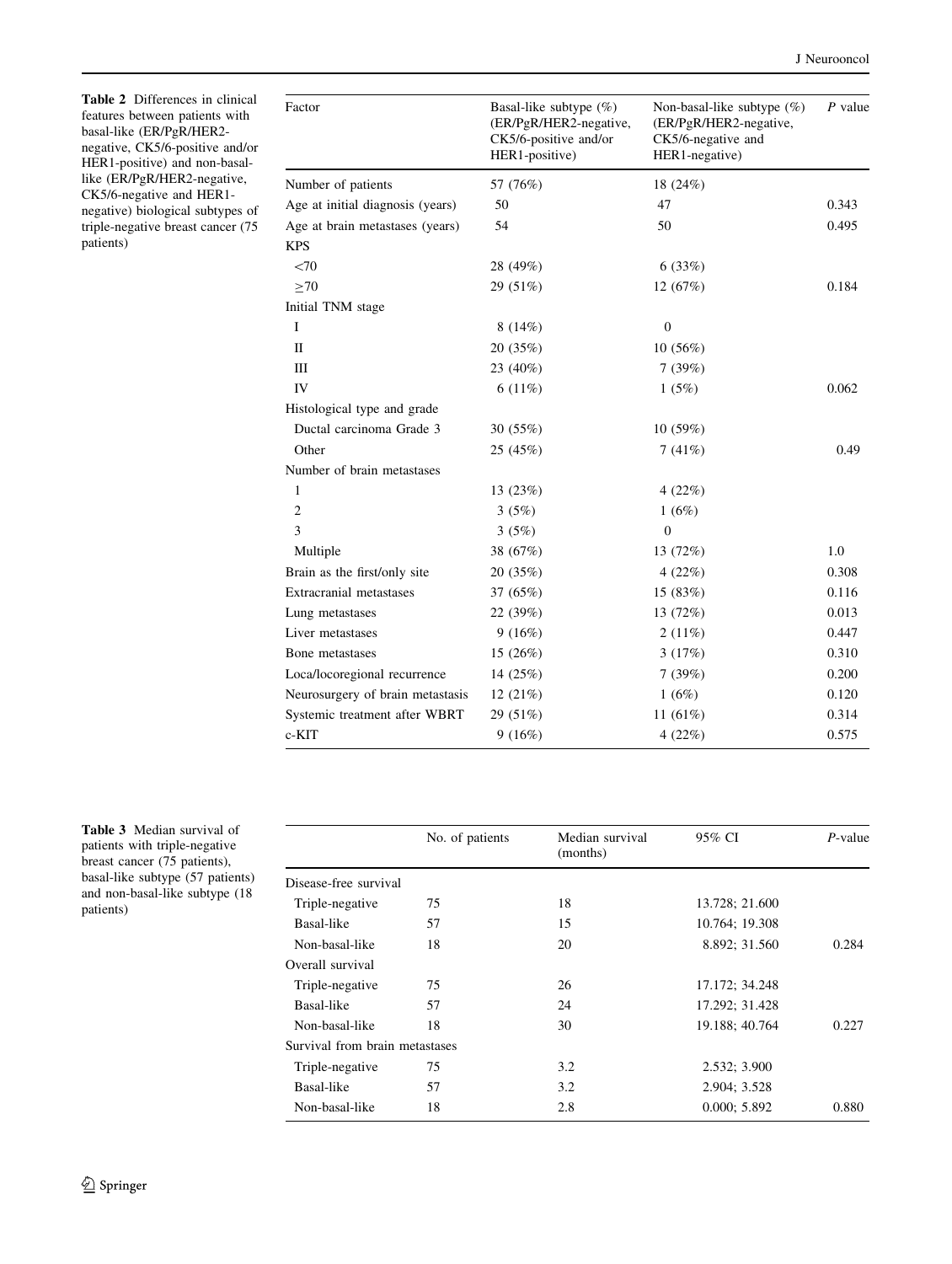<span id="page-3-0"></span>Table 2 Differences in clinical features between patients with basal-like (ER/PgR/HER2 negative, CK5/6-positive and/or HER1-positive) and non-basallike (ER/PgR/HER2-negative, CK5/6-negative and HER1 negative) biological subtypes of triple-negative breast cancer (75 patients)

| Factor                           | Basal-like subtype $(\%)$<br>(ER/PgR/HER2-negative,<br>CK5/6-positive and/or<br>HER1-positive) | Non-basal-like subtype $(\%)$<br>(ER/PgR/HER2-negative,<br>CK5/6-negative and<br>HER1-negative) | P value |
|----------------------------------|------------------------------------------------------------------------------------------------|-------------------------------------------------------------------------------------------------|---------|
| Number of patients               | 57 (76%)                                                                                       | 18 (24%)                                                                                        |         |
| Age at initial diagnosis (years) | 50                                                                                             | 47                                                                                              | 0.343   |
| Age at brain metastases (years)  | 54                                                                                             | 50                                                                                              | 0.495   |
| <b>KPS</b>                       |                                                                                                |                                                                                                 |         |
| <70                              | 28 (49%)                                                                                       | 6(33%)                                                                                          |         |
| >70                              | 29 (51%)                                                                                       | 12 (67%)                                                                                        | 0.184   |
| Initial TNM stage                |                                                                                                |                                                                                                 |         |
| Ι                                | 8(14%)                                                                                         | $\overline{0}$                                                                                  |         |
| $\mathbf{I}$                     | 20(35%)                                                                                        | 10(56%)                                                                                         |         |
| Ш                                | 23 (40%)                                                                                       | 7(39%)                                                                                          |         |
| IV                               | 6 $(11%)$                                                                                      | 1(5%)                                                                                           | 0.062   |
| Histological type and grade      |                                                                                                |                                                                                                 |         |
| Ductal carcinoma Grade 3         | 30 (55%)                                                                                       | 10 (59%)                                                                                        |         |
| Other                            | 25 (45%)                                                                                       | 7 $(41%)$                                                                                       | 0.49    |
| Number of brain metastases       |                                                                                                |                                                                                                 |         |
| $\mathbf{1}$                     | 13 (23%)                                                                                       | 4(22%)                                                                                          |         |
| $\overline{2}$                   | 3(5%)                                                                                          | 1(6%)                                                                                           |         |
| 3                                | 3(5%)                                                                                          | $\overline{0}$                                                                                  |         |
| Multiple                         | 38 (67%)                                                                                       | 13 (72%)                                                                                        | 1.0     |
| Brain as the first/only site     | 20(35%)                                                                                        | 4(22%)                                                                                          | 0.308   |
| Extracranial metastases          | 37 (65%)                                                                                       | 15 (83%)                                                                                        | 0.116   |
| Lung metastases                  | 22 (39%)                                                                                       | 13 (72%)                                                                                        | 0.013   |
| Liver metastases                 | 9(16%)                                                                                         | 2(11%)                                                                                          | 0.447   |
| Bone metastases                  | 15(26%)                                                                                        | 3(17%)                                                                                          | 0.310   |
| Loca/locoregional recurrence     | 14 $(25%)$                                                                                     | 7(39%)                                                                                          | 0.200   |
| Neurosurgery of brain metastasis | 12(21%)                                                                                        | 1(6%)                                                                                           | 0.120   |
| Systemic treatment after WBRT    | 29 (51%)                                                                                       | 11 $(61\%)$                                                                                     | 0.314   |
| c-KIT                            | 9(16%)                                                                                         | 4(22%)                                                                                          | 0.575   |

Table 3 Median survival of patients with triple-negative breast cancer (75 patients), basal-like subtype (57 patients) and non-basal-like subtype (18 patients)

|                                | No. of patients | Median survival<br>(months) | 95% CI         | $P$ -value |
|--------------------------------|-----------------|-----------------------------|----------------|------------|
| Disease-free survival          |                 |                             |                |            |
| Triple-negative                | 75              | 18                          | 13.728; 21.600 |            |
| Basal-like                     | 57              | 15                          | 10.764; 19.308 |            |
| Non-basal-like                 | 18              | 20                          | 8.892; 31.560  | 0.284      |
| Overall survival               |                 |                             |                |            |
| Triple-negative                | 75              | 26                          | 17.172; 34.248 |            |
| Basal-like                     | 57              | 24                          | 17.292; 31.428 |            |
| Non-basal-like                 | 18              | 30                          | 19.188; 40.764 | 0.227      |
| Survival from brain metastases |                 |                             |                |            |
| Triple-negative                | 75              | 3.2                         | 2.532; 3.900   |            |
| Basal-like                     | 57              | 3.2                         | 2.904; 3.528   |            |
| Non-basal-like                 | 18              | 2.8                         | 0.000; 5.892   | 0.880      |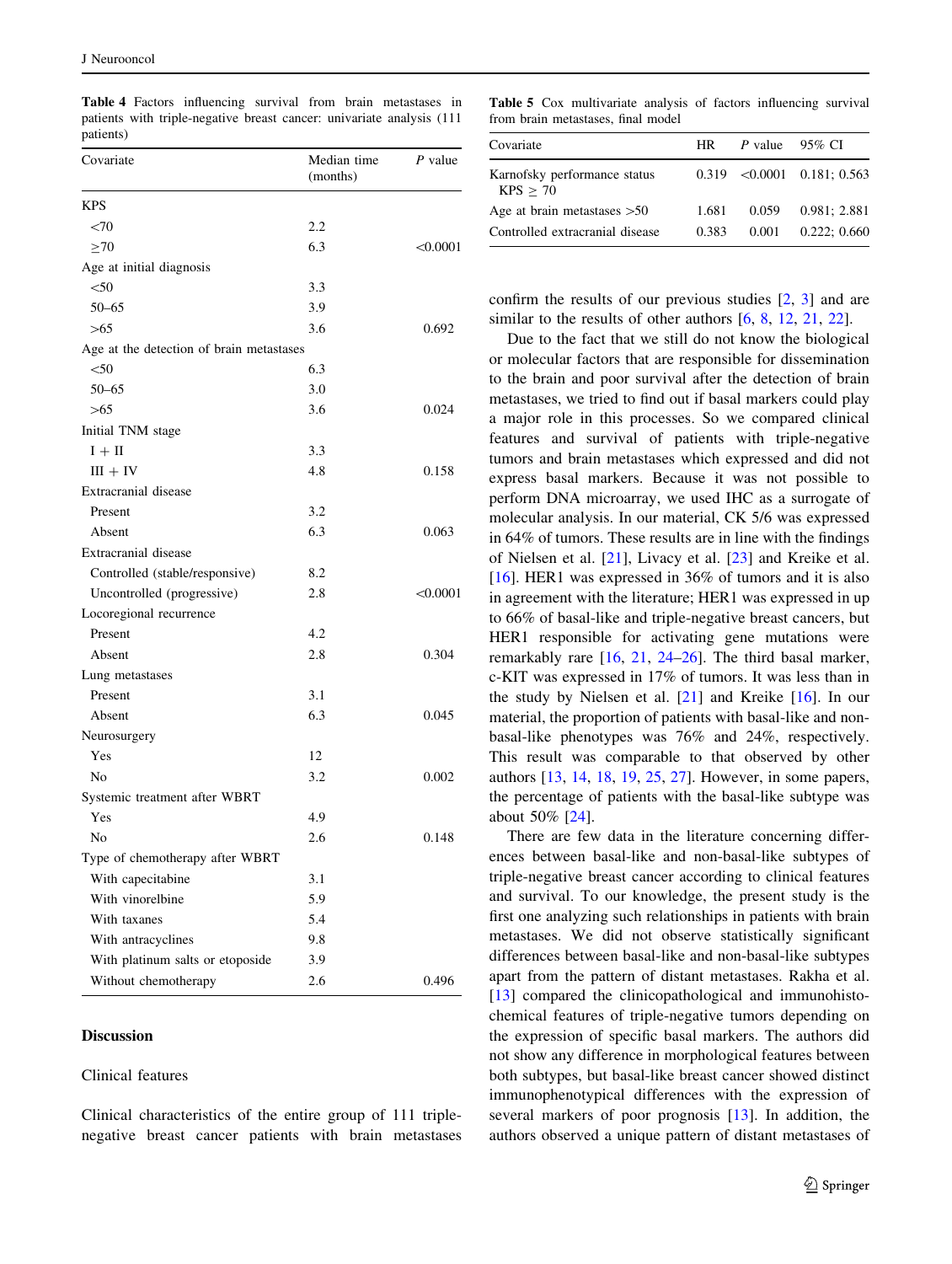| Covariate                                | Median time<br>(months) | $P$ value |
|------------------------------------------|-------------------------|-----------|
| <b>KPS</b>                               |                         |           |
| <70                                      | 2.2                     |           |
| $\geq 70$                                | 6.3                     | < 0.0001  |
| Age at initial diagnosis                 |                         |           |
| < 50                                     | 3.3                     |           |
| $50 - 65$                                | 3.9                     |           |
| >65                                      | 3.6                     | 0.692     |
| Age at the detection of brain metastases |                         |           |
| < 50                                     | 6.3                     |           |
| $50 - 65$                                | 3.0                     |           |
| >65                                      | 3.6                     | 0.024     |
| Initial TNM stage                        |                         |           |
| $I + II$                                 | 3.3                     |           |
| $III + IV$                               | 4.8                     | 0.158     |
| Extracranial disease                     |                         |           |
| Present                                  | 3.2                     |           |
| Absent                                   | 6.3                     | 0.063     |
| Extracranial disease                     |                         |           |
| Controlled (stable/responsive)           | 8.2                     |           |
| Uncontrolled (progressive)               | 2.8                     | < 0.0001  |
| Locoregional recurrence                  |                         |           |
| Present                                  | 4.2                     |           |
| Absent                                   | 2.8                     | 0.304     |
| Lung metastases                          |                         |           |
| Present                                  | 3.1                     |           |
| Absent                                   | 6.3                     | 0.045     |
| Neurosurgery                             |                         |           |
| Yes                                      | 12                      |           |
| No                                       | 3.2                     | 0.002     |
| Systemic treatment after WBRT            |                         |           |
| Yes                                      | 4.9                     |           |
| N <sub>0</sub>                           | 2.6                     | 0.148     |
| Type of chemotherapy after WBRT          |                         |           |
| With capecitabine                        | 3.1                     |           |
| With vinorelbine                         | 5.9                     |           |
| With taxanes                             | 5.4                     |           |
| With antracyclines                       | 9.8                     |           |
| With platinum salts or etoposide         | 3.9                     |           |
| Without chemotherapy                     | 2.6                     | 0.496     |

<span id="page-4-0"></span>Table 4 Factors influencing survival from brain metastases in patients with triple-negative breast cancer: univariate analysis (111 patients)

# **Discussion**

#### Clinical features

Clinical characteristics of the entire group of 111 triplenegative breast cancer patients with brain metastases

Table 5 Cox multivariate analysis of factors influencing survival from brain metastases, final model

| Covariate                                | HR —  | P value $95\%$ CI |                                 |
|------------------------------------------|-------|-------------------|---------------------------------|
| Karnofsky performance status<br>KPS > 70 |       |                   | $0.319$ < $0.0001$ 0.181; 0.563 |
| Age at brain metastases $>50$            | 1.681 | 0.059             | 0.981: 2.881                    |
| Controlled extracranial disease          | 0.383 | 0.001             | 0.222: 0.660                    |

confirm the results of our previous studies [\[2](#page-5-0), [3](#page-6-0)] and are similar to the results of other authors  $[6, 8, 12, 21, 22]$  $[6, 8, 12, 21, 22]$  $[6, 8, 12, 21, 22]$  $[6, 8, 12, 21, 22]$  $[6, 8, 12, 21, 22]$  $[6, 8, 12, 21, 22]$  $[6, 8, 12, 21, 22]$  $[6, 8, 12, 21, 22]$  $[6, 8, 12, 21, 22]$  $[6, 8, 12, 21, 22]$ .

Due to the fact that we still do not know the biological or molecular factors that are responsible for dissemination to the brain and poor survival after the detection of brain metastases, we tried to find out if basal markers could play a major role in this processes. So we compared clinical features and survival of patients with triple-negative tumors and brain metastases which expressed and did not express basal markers. Because it was not possible to perform DNA microarray, we used IHC as a surrogate of molecular analysis. In our material, CK 5/6 was expressed in 64% of tumors. These results are in line with the findings of Nielsen et al. [[21\]](#page-6-0), Livacy et al. [[23\]](#page-6-0) and Kreike et al. [\[16](#page-6-0)]. HER1 was expressed in 36% of tumors and it is also in agreement with the literature; HER1 was expressed in up to 66% of basal-like and triple-negative breast cancers, but HER1 responsible for activating gene mutations were remarkably rare [[16,](#page-6-0) [21](#page-6-0), [24–26\]](#page-6-0). The third basal marker, c-KIT was expressed in 17% of tumors. It was less than in the study by Nielsen et al. [[21\]](#page-6-0) and Kreike [\[16](#page-6-0)]. In our material, the proportion of patients with basal-like and nonbasal-like phenotypes was 76% and 24%, respectively. This result was comparable to that observed by other authors [[13,](#page-6-0) [14](#page-6-0), [18](#page-6-0), [19,](#page-6-0) [25](#page-6-0), [27\]](#page-6-0). However, in some papers, the percentage of patients with the basal-like subtype was about 50% [[24\]](#page-6-0).

There are few data in the literature concerning differences between basal-like and non-basal-like subtypes of triple-negative breast cancer according to clinical features and survival. To our knowledge, the present study is the first one analyzing such relationships in patients with brain metastases. We did not observe statistically significant differences between basal-like and non-basal-like subtypes apart from the pattern of distant metastases. Rakha et al. [\[13](#page-6-0)] compared the clinicopathological and immunohistochemical features of triple-negative tumors depending on the expression of specific basal markers. The authors did not show any difference in morphological features between both subtypes, but basal-like breast cancer showed distinct immunophenotypical differences with the expression of several markers of poor prognosis [[13\]](#page-6-0). In addition, the authors observed a unique pattern of distant metastases of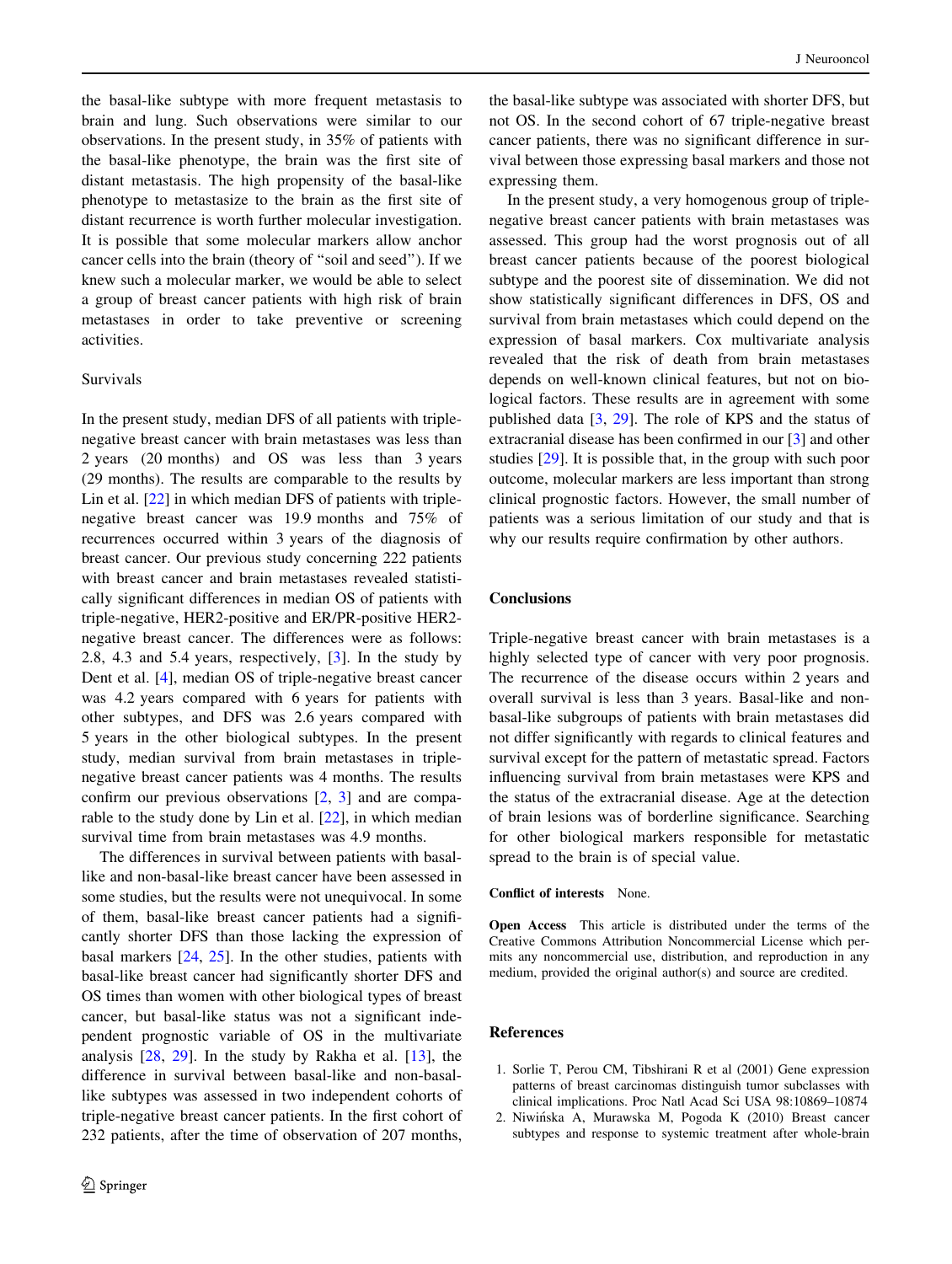<span id="page-5-0"></span>the basal-like subtype with more frequent metastasis to brain and lung. Such observations were similar to our observations. In the present study, in 35% of patients with the basal-like phenotype, the brain was the first site of distant metastasis. The high propensity of the basal-like phenotype to metastasize to the brain as the first site of distant recurrence is worth further molecular investigation. It is possible that some molecular markers allow anchor cancer cells into the brain (theory of ''soil and seed''). If we knew such a molecular marker, we would be able to select a group of breast cancer patients with high risk of brain metastases in order to take preventive or screening activities.

## Survivals

In the present study, median DFS of all patients with triplenegative breast cancer with brain metastases was less than 2 years (20 months) and OS was less than 3 years (29 months). The results are comparable to the results by Lin et al. [\[22](#page-6-0)] in which median DFS of patients with triplenegative breast cancer was 19.9 months and 75% of recurrences occurred within 3 years of the diagnosis of breast cancer. Our previous study concerning 222 patients with breast cancer and brain metastases revealed statistically significant differences in median OS of patients with triple-negative, HER2-positive and ER/PR-positive HER2 negative breast cancer. The differences were as follows: 2.8, 4.3 and 5.4 years, respectively, [[3\]](#page-6-0). In the study by Dent et al. [\[4](#page-6-0)], median OS of triple-negative breast cancer was 4.2 years compared with 6 years for patients with other subtypes, and DFS was 2.6 years compared with 5 years in the other biological subtypes. In the present study, median survival from brain metastases in triplenegative breast cancer patients was 4 months. The results confirm our previous observations  $[2, 3]$  $[2, 3]$  and are comparable to the study done by Lin et al. [[22\]](#page-6-0), in which median survival time from brain metastases was 4.9 months.

The differences in survival between patients with basallike and non-basal-like breast cancer have been assessed in some studies, but the results were not unequivocal. In some of them, basal-like breast cancer patients had a significantly shorter DFS than those lacking the expression of basal markers [[24,](#page-6-0) [25\]](#page-6-0). In the other studies, patients with basal-like breast cancer had significantly shorter DFS and OS times than women with other biological types of breast cancer, but basal-like status was not a significant independent prognostic variable of OS in the multivariate analysis [[28,](#page-6-0) [29\]](#page-6-0). In the study by Rakha et al. [[13\]](#page-6-0), the difference in survival between basal-like and non-basallike subtypes was assessed in two independent cohorts of triple-negative breast cancer patients. In the first cohort of 232 patients, after the time of observation of 207 months,

the basal-like subtype was associated with shorter DFS, but not OS. In the second cohort of 67 triple-negative breast cancer patients, there was no significant difference in survival between those expressing basal markers and those not expressing them.

In the present study, a very homogenous group of triplenegative breast cancer patients with brain metastases was assessed. This group had the worst prognosis out of all breast cancer patients because of the poorest biological subtype and the poorest site of dissemination. We did not show statistically significant differences in DFS, OS and survival from brain metastases which could depend on the expression of basal markers. Cox multivariate analysis revealed that the risk of death from brain metastases depends on well-known clinical features, but not on biological factors. These results are in agreement with some published data [\[3](#page-6-0), [29\]](#page-6-0). The role of KPS and the status of extracranial disease has been confirmed in our [\[3](#page-6-0)] and other studies [[29\]](#page-6-0). It is possible that, in the group with such poor outcome, molecular markers are less important than strong clinical prognostic factors. However, the small number of patients was a serious limitation of our study and that is why our results require confirmation by other authors.

## **Conclusions**

Triple-negative breast cancer with brain metastases is a highly selected type of cancer with very poor prognosis. The recurrence of the disease occurs within 2 years and overall survival is less than 3 years. Basal-like and nonbasal-like subgroups of patients with brain metastases did not differ significantly with regards to clinical features and survival except for the pattern of metastatic spread. Factors influencing survival from brain metastases were KPS and the status of the extracranial disease. Age at the detection of brain lesions was of borderline significance. Searching for other biological markers responsible for metastatic spread to the brain is of special value.

#### Conflict of interests None.

Open Access This article is distributed under the terms of the Creative Commons Attribution Noncommercial License which permits any noncommercial use, distribution, and reproduction in any medium, provided the original author(s) and source are credited.

#### References

- 1. Sorlie T, Perou CM, Tibshirani R et al (2001) Gene expression patterns of breast carcinomas distinguish tumor subclasses with clinical implications. Proc Natl Acad Sci USA 98:10869–10874
- 2. Niwińska A, Murawska M, Pogoda K (2010) Breast cancer subtypes and response to systemic treatment after whole-brain